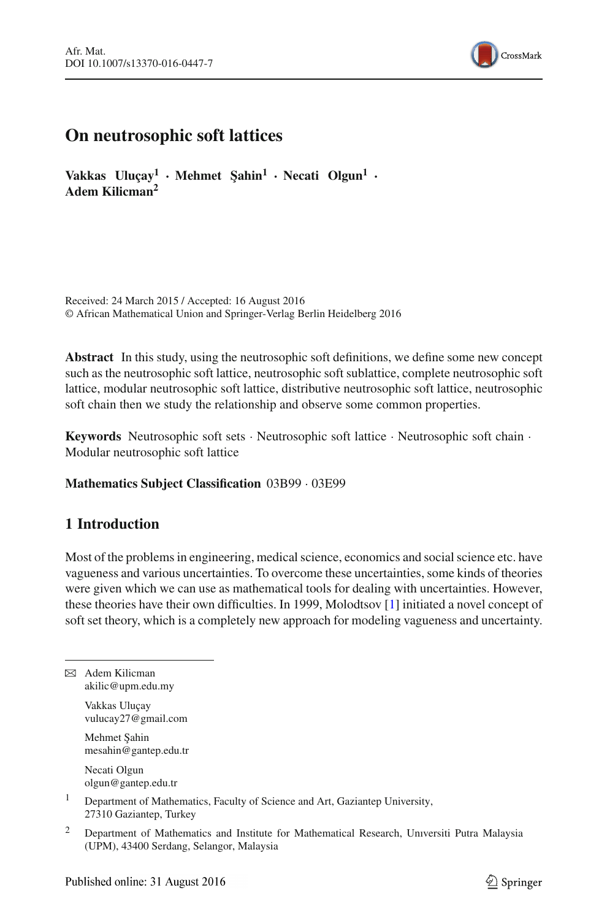

# **On neutrosophic soft lattices**

**Vakkas Uluçay<sup>1</sup> · Mehmet ¸Sahin<sup>1</sup> · Necati Olgun<sup>1</sup> · Adem Kilicman<sup>2</sup>**

Received: 24 March 2015 / Accepted: 16 August 2016 © African Mathematical Union and Springer-Verlag Berlin Heidelberg 2016

**Abstract** In this study, using the neutrosophic soft definitions, we define some new concept such as the neutrosophic soft lattice, neutrosophic soft sublattice, complete neutrosophic soft lattice, modular neutrosophic soft lattice, distributive neutrosophic soft lattice, neutrosophic soft chain then we study the relationship and observe some common properties.

**Keywords** Neutrosophic soft sets · Neutrosophic soft lattice · Neutrosophic soft chain · Modular neutrosophic soft lattice

## **Mathematics Subject Classification** 03B99 · 03E99

# **1 Introduction**

Most of the problems in engineering, medical science, economics and social science etc. have vagueness and various uncertainties. To overcome these uncertainties, some kinds of theories were given which we can use as mathematical tools for dealing with uncertainties. However, these theories have their own difficulties. In 1999, Molodtsov [\[1](#page-8-0)] initiated a novel concept of soft set theory, which is a completely new approach for modeling vagueness and uncertainty.

 $\boxtimes$  Adem Kilicman akilic@upm.edu.my

> Vakkas Uluçay vulucay27@gmail.com

> Mehmet Sahin mesahin@gantep.edu.tr

Necati Olgun olgun@gantep.edu.tr

<sup>1</sup> Department of Mathematics, Faculty of Science and Art, Gaziantep University, 27310 Gaziantep, Turkey

<sup>2</sup> Department of Mathematics and Institute for Mathematical Research, Universiti Putra Malaysia (UPM), 43400 Serdang, Selangor, Malaysia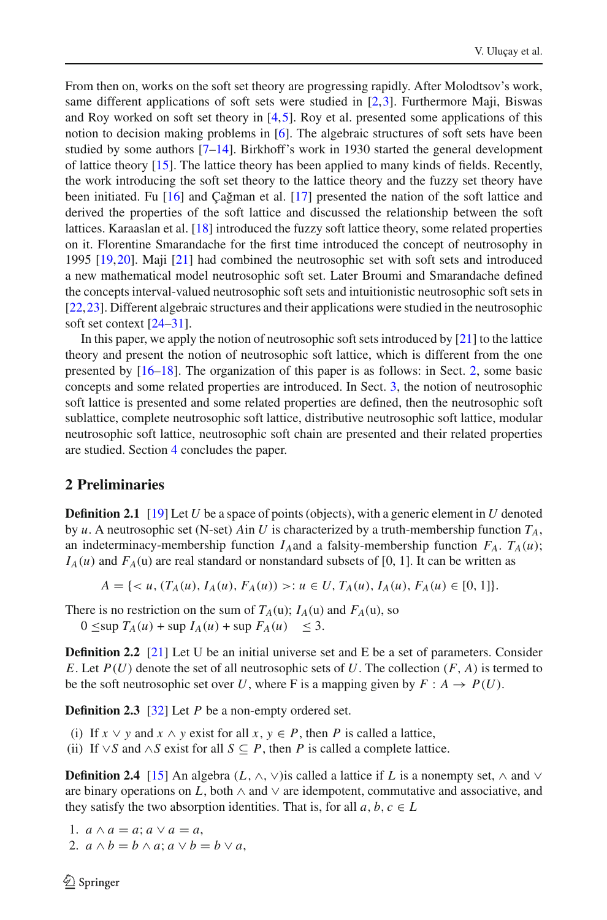From then on, works on the soft set theory are progressing rapidly. After Molodtsov's work, same different applications of soft sets were studied in [\[2](#page-8-1)[,3\]](#page-8-2). Furthermore Maji, Biswas and Roy worked on soft set theory in  $[4,5]$  $[4,5]$  $[4,5]$ . Roy et al. presented some applications of this notion to decision making problems in [\[6\]](#page-8-5). The algebraic structures of soft sets have been studied by some authors [\[7](#page-8-6)[–14\]](#page-9-0). Birkhoff's work in 1930 started the general development of lattice theory [\[15](#page-9-1)]. The lattice theory has been applied to many kinds of fields. Recently, the work introducing the soft set theory to the lattice theory and the fuzzy set theory have been initiated. Fu  $[16]$  $[16]$  and Çağman et al.  $[17]$  $[17]$  presented the nation of the soft lattice and derived the properties of the soft lattice and discussed the relationship between the soft lattices. Karaaslan et al. [\[18](#page-9-4)] introduced the fuzzy soft lattice theory, some related properties on it. Florentine Smarandache for the first time introduced the concept of neutrosophy in 1995 [\[19](#page-9-5)[,20](#page-9-6)]. Maji [\[21\]](#page-9-7) had combined the neutrosophic set with soft sets and introduced a new mathematical model neutrosophic soft set. Later Broumi and Smarandache defined the concepts interval-valued neutrosophic soft sets and intuitionistic neutrosophic soft sets in [\[22,](#page-9-8)[23](#page-9-9)]. Different algebraic structures and their applications were studied in the neutrosophic soft set context [\[24](#page-9-10)[–31\]](#page-9-11).

In this paper, we apply the notion of neutrosophic soft sets introduced by [\[21](#page-9-7)] to the lattice theory and present the notion of neutrosophic soft lattice, which is different from the one presented by [\[16](#page-9-2)[–18\]](#page-9-4). The organization of this paper is as follows: in Sect. [2,](#page-1-0) some basic concepts and some related properties are introduced. In Sect. [3,](#page-2-0) the notion of neutrosophic soft lattice is presented and some related properties are defined, then the neutrosophic soft sublattice, complete neutrosophic soft lattice, distributive neutrosophic soft lattice, modular neutrosophic soft lattice, neutrosophic soft chain are presented and their related properties are studied. Section [4](#page-8-7) concludes the paper.

# <span id="page-1-0"></span>**2 Preliminaries**

**Definition 2.1** [\[19\]](#page-9-5) Let *U* be a space of points (objects), with a generic element in *U* denoted by *u*. A neutrosophic set (N-set) Ain *U* is characterized by a truth-membership function  $T_A$ , an indeterminacy-membership function  $I_A$  and a falsity-membership function  $F_A$ .  $T_A(u)$ ;  $I_A(u)$  and  $F_A(u)$  are real standard or nonstandard subsets of [0, 1]. It can be written as

$$
A = \{ \langle u, (T_A(u), I_A(u), F_A(u)) \rangle : u \in U, T_A(u), I_A(u), F_A(u) \in [0, 1] \}.
$$

There is no restriction on the sum of  $T_A(u)$ ;  $I_A(u)$  and  $F_A(u)$ , so

 $0 \leq$ sup  $T_A(u)$  + sup  $I_A(u)$  + sup  $F_A(u) \leq 3$ .

**Definition 2.2** [\[21\]](#page-9-7) Let U be an initial universe set and E be a set of parameters. Consider *E*. Let  $P(U)$  denote the set of all neutrosophic sets of U. The collection  $(F, A)$  is termed to be the soft neutrosophic set over *U*, where F is a mapping given by  $F : A \rightarrow P(U)$ .

**Definition 2.3** [\[32\]](#page-9-12) Let *P* be a non-empty ordered set.

- (i) If  $x \lor y$  and  $x \land y$  exist for all  $x, y \in P$ , then P is called a lattice,
- (ii) If  $\vee$ *S* and ∧*S* exist for all *S* ⊆ *P*, then *P* is called a complete lattice.

**Definition 2.4** [\[15\]](#page-9-1) An algebra  $(L, \wedge, \vee)$  is called a lattice if L is a nonempty set,  $\wedge$  and  $\vee$ are binary operations on *L*, both  $\land$  and  $\lor$  are idempotent, commutative and associative, and they satisfy the two absorption identities. That is, for all  $a, b, c \in L$ 

1.  $a \wedge a = a$ ;  $a \vee a = a$ , 2.  $a \wedge b = b \wedge a$ ;  $a \vee b = b \vee a$ ,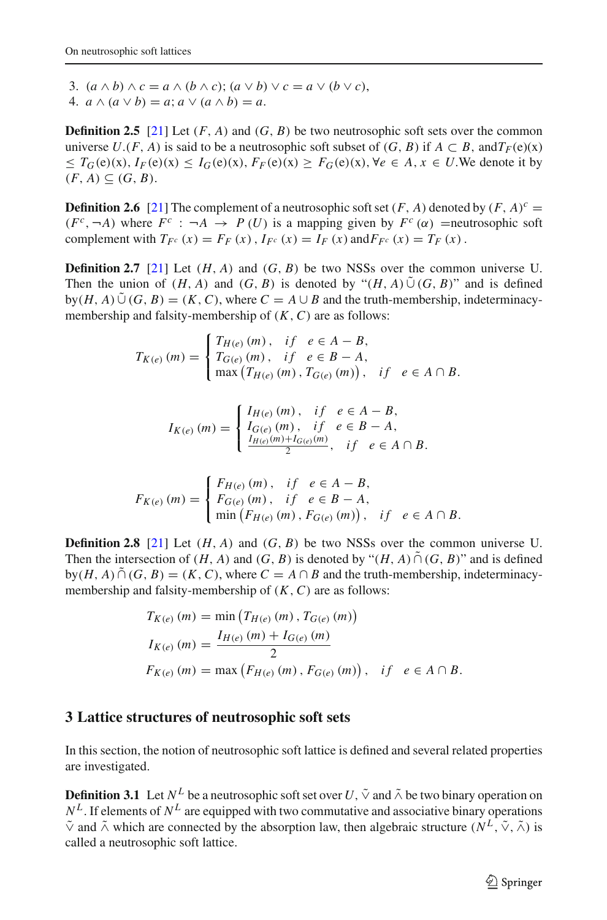3.  $(a \wedge b) \wedge c = a \wedge (b \wedge c)$ ;  $(a \vee b) \vee c = a \vee (b \vee c)$ , 4.  $a \wedge (a \vee b) = a$ ;  $a \vee (a \wedge b) = a$ .

**Definition 2.5** [\[21\]](#page-9-7) Let  $(F, A)$  and  $(G, B)$  be two neutrosophic soft sets over the common universe  $U$ .(*F*, *A*) is said to be a neutrosophic soft subset of  $(G, B)$  if  $A \subset B$ , and  $T_F(e)(x)$  $\leq T_G(e)(x), I_F(e)(x) \leq I_G(e)(x), F_F(e)(x) \geq F_G(e)(x), \forall e \in A, x \in U$ . We denote it by  $(F, A) \subseteq (G, B).$ 

**Definition 2.6** [\[21\]](#page-9-7) The complement of a neutrosophic soft set  $(F, A)$  denoted by  $(F, A)^c$  =  $(F^c, \neg A)$  where  $F^c : \neg A \rightarrow P(U)$  is a mapping given by  $F^c(\alpha)$  =neutrosophic soft complement with  $T_{F^c}(x) = F_F(x)$ ,  $I_{F^c}(x) = I_F(x)$  and  $F_{F^c}(x) = T_F(x)$ .

**Definition 2.7** [\[21\]](#page-9-7) Let  $(H, A)$  and  $(G, B)$  be two NSSs over the common universe U. Then the union of  $(H, A)$  and  $(G, B)$  is denoted by " $(H, A) \tilde{\cup} (G, B)$ " and is defined  $by(H, A) \tilde{\cup} (G, B) = (K, C)$ , where  $C = A \cup B$  and the truth-membership, indeterminacymembership and falsity-membership of (*K*,*C*) are as follows:

$$
T_{K(e)} (m) = \begin{cases} T_{H(e)} (m), & if \ e \in A - B, \\ T_{G(e)} (m), & if \ e \in B - A, \\ \max (T_{H(e)} (m), T_{G(e)} (m)), & if \ e \in A \cap B. \end{cases}
$$

$$
I_{K(e)}(m) = \begin{cases} I_{H(e)}(m), & if \ e \in A - B, \\ I_{G(e)}(m), & if \ e \in B - A, \\ \frac{I_{H(e)}(m) + I_{G(e)}(m)}{2}, & if \ e \in A \cap B. \end{cases}
$$

$$
F_{K(e)}(m) = \begin{cases} F_{H(e)}(m), & if \ e \in A - B, \\ F_{G(e)}(m), & if \ e \in B - A, \\ \min(F_{H(e)}(m), F_{G(e)}(m)), & if \ e \in A \cap B. \end{cases}
$$

**Definition 2.8** [\[21\]](#page-9-7) Let  $(H, A)$  and  $(G, B)$  be two NSSs over the common universe U. Then the intersection of  $(H, A)$  and  $(G, B)$  is denoted by " $(H, A) \cap (G, B)$ " and is defined  $by(H, A) \cap (G, B) = (K, C)$ , where  $C = A \cap B$  and the truth-membership, indeterminacymembership and falsity-membership of (*K*,*C*) are as follows:

$$
T_{K(e)} (m) = \min (T_{H(e)} (m), T_{G(e)} (m))
$$
  
\n
$$
I_{K(e)} (m) = \frac{I_{H(e)} (m) + I_{G(e)} (m)}{2}
$$
  
\n
$$
F_{K(e)} (m) = \max (F_{H(e)} (m), F_{G(e)} (m)), \text{ if } e \in A \cap B.
$$

## <span id="page-2-0"></span>**3 Lattice structures of neutrosophic soft sets**

In this section, the notion of neutrosophic soft lattice is defined and several related properties are investigated.

<span id="page-2-1"></span>**Definition 3.1** Let  $N^L$  be a neutrosophic soft set over  $U$ ,  $\tilde{\vee}$  and  $\tilde{\wedge}$  be two binary operation on  $N^L$ . If elements of  $N^L$  are equipped with two commutative and associative binary operations  $\tilde{\vee}$  and  $\tilde{\wedge}$  which are connected by the absorption law, then algebraic structure ( $N^L$ ,  $\tilde{\vee}$ ,  $\tilde{\wedge}$ ) is called a neutrosophic soft lattice.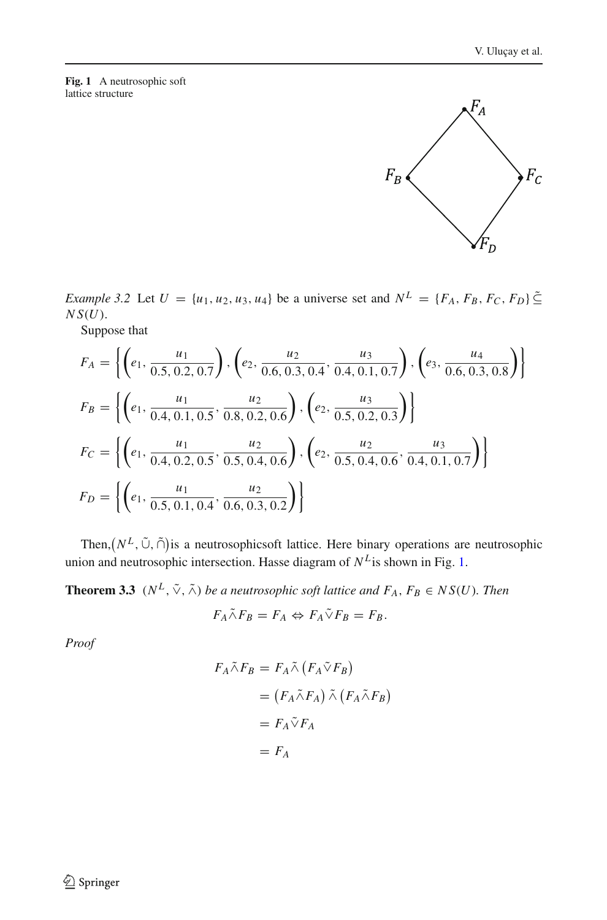#### <span id="page-3-0"></span>**Fig. 1** A neutrosophic soft lattice structure

*Example 3.2* Let  $U = \{u_1, u_2, u_3, u_4\}$  be a universe set and  $N^L = \{F_A, F_B, F_C, F_D\} \subseteq$ *N S*(*U*).

Suppose that

$$
F_A = \left\{ \left( e_1, \frac{u_1}{0.5, 0.2, 0.7} \right), \left( e_2, \frac{u_2}{0.6, 0.3, 0.4}, \frac{u_3}{0.4, 0.1, 0.7} \right), \left( e_3, \frac{u_4}{0.6, 0.3, 0.8} \right) \right\}
$$
  
\n
$$
F_B = \left\{ \left( e_1, \frac{u_1}{0.4, 0.1, 0.5}, \frac{u_2}{0.8, 0.2, 0.6} \right), \left( e_2, \frac{u_3}{0.5, 0.2, 0.3} \right) \right\}
$$
  
\n
$$
F_C = \left\{ \left( e_1, \frac{u_1}{0.4, 0.2, 0.5}, \frac{u_2}{0.5, 0.4, 0.6} \right), \left( e_2, \frac{u_2}{0.5, 0.4, 0.6}, \frac{u_3}{0.4, 0.1, 0.7} \right) \right\}
$$
  
\n
$$
F_D = \left\{ \left( e_1, \frac{u_1}{0.5, 0.1, 0.4}, \frac{u_2}{0.6, 0.3, 0.2} \right) \right\}
$$

Then,  $(N^L, \tilde{\cup}, \tilde{\cap})$  is a neutrosophicsoft lattice. Here binary operations are neutrosophic union and neutrosophic intersection. Hasse diagram of  $N^L$  is shown in Fig. [1.](#page-3-0)

**Theorem 3.3** ( $N^L$ ,  $\tilde{\vee}$ ,  $\tilde{\wedge}$ ) *be a neutrosophic soft lattice and*  $F_A$ ,  $F_B \in NS(U)$ *. Then* 

$$
F_A \tilde{\wedge} F_B = F_A \Leftrightarrow F_A \tilde{\vee} F_B = F_B.
$$

*Proof*

$$
F_A \tilde{\wedge} F_B = F_A \tilde{\wedge} (F_A \tilde{\vee} F_B)
$$
  
=  $(F_A \tilde{\wedge} F_A) \tilde{\wedge} (F_A \tilde{\wedge} F_B)$   
=  $F_A \tilde{\vee} F_A$   
=  $F_A$ 

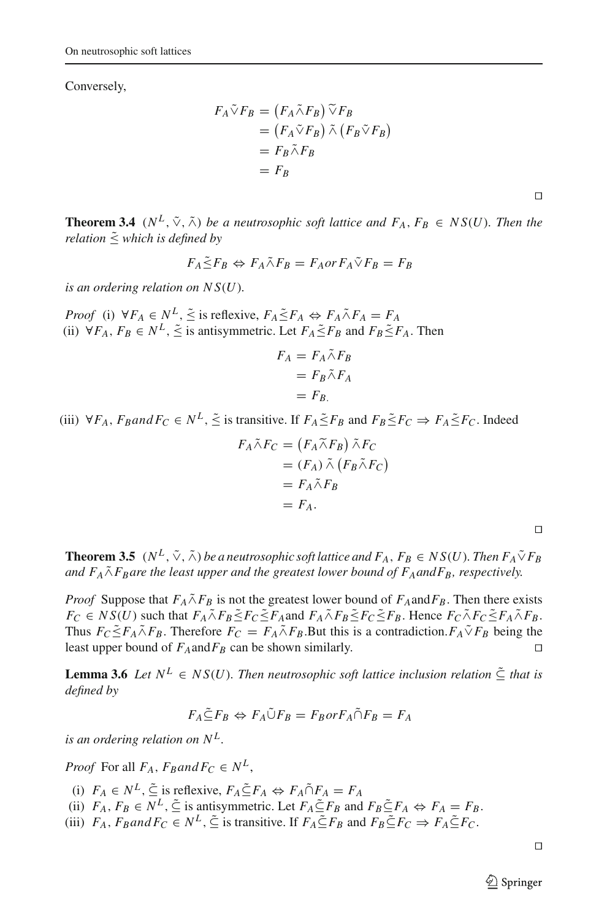Conversely,

$$
F_A \tilde{\vee} F_B = (F_A \tilde{\wedge} F_B) \tilde{\vee} F_B
$$
  
=  $(F_A \tilde{\vee} F_B) \tilde{\wedge} (F_B \tilde{\vee} F_B)$   
=  $F_B \tilde{\wedge} F_B$   
=  $F_B$ 

**Theorem 3.4** ( $N^L$ ,  $\tilde{\vee}$ ,  $\tilde{\wedge}$ ) *be a neutrosophic soft lattice and*  $F_A$ ,  $F_B \in NS(U)$ *. Then the relation*  $\tilde{\le}$  *which is defined by* 

$$
F_A \tilde{\leq} F_B \Leftrightarrow F_A \tilde{\wedge} F_B = F_A \text{or } F_A \tilde{\vee} F_B = F_B
$$

*is an ordering relation on N S*(*U*)*.*

*Proof* (i)  $\forall F_A \in N^L$ ,  $\leq$  is reflexive,  $F_A \leq F_A \Leftrightarrow F_A \wedge F_A = F_A$ (ii)  $\forall F_A, F_B \in N^L$ ,  $\leq$  is antisymmetric. Let  $F_A \leq F_B$  and  $F_B \leq F_A$ . Then

$$
F_A = F_A \tilde{\wedge} F_B
$$
  
=  $F_B \tilde{\wedge} F_A$   
=  $F_B$ .

(iii)  $\forall F_A$ ,  $F_B$ and  $F_C \in N^L$ ,  $\leq$  is transitive. If  $F_A \leq F_B$  and  $F_B \leq F_C \Rightarrow F_A \leq F_C$ . Indeed

$$
F_A \tilde{\wedge} F_C = (F_A \tilde{\wedge} F_B) \tilde{\wedge} F_C
$$
  
=  $(F_A) \tilde{\wedge} (F_B \tilde{\wedge} F_C)$   
=  $F_A \tilde{\wedge} F_B$   
=  $F_A$ .

**Theorem 3.5**  $(N^L, \tilde{\vee}, \tilde{\wedge})$  *be a neutrosophic soft lattice and*  $F_A$ ,  $F_B \in NS(U)$ *. Then*  $F_A \tilde{\vee} F_B$ and  $F_A \tilde{\wedge} F_B$ are the least upper and the greatest lower bound of  $F_A$ and $F_B$ , respectively.

*Proof* Suppose that  $F_A \tilde{\wedge} F_B$  is not the greatest lower bound of  $F_A$ and $F_B$ . Then there exists  $F_C \in NS(U)$  such that  $F_A \tilde{\wedge} F_B \leq F_C \leq F_A$  and  $F_A \tilde{\wedge} F_B \leq F_C \leq F_B$ . Hence  $F_C \tilde{\wedge} F_C \leq F_A \tilde{\wedge} F_B$ . Thus  $F_C \leq F_A \wedge F_B$ . Therefore  $F_C = F_A \wedge F_B$ . But this is a contradiction.  $F_A \vee F_B$  being the least upper bound of  $F_A$ and $F_B$  can be shown similarly.

**Lemma 3.6** *Let*  $N^L \in NS(U)$ *. Then neutrosophic soft lattice inclusion relation*  $\tilde{\subset}$  *that is defined by*

$$
F_A \tilde{\subseteq} F_B \Leftrightarrow F_A \tilde{\cup} F_B = F_B \text{or } F_A \tilde{\cap} F_B = F_A
$$

*is an ordering relation on*  $N^L$ .

*Proof* For all  $F_A$ ,  $F_B$ and $F_C \in N^L$ ,

- (i)  $F_A \in N^L$ ,  $\tilde{\subseteq}$  is reflexive,  $F_A \tilde{\subseteq} F_A \Leftrightarrow F_A \tilde{\cap} F_A = F_A$
- (ii)  $F_A$ ,  $F_B \in N^L$ ,  $\tilde{\subseteq}$  is antisymmetric. Let  $F_A \tilde{\subseteq} F_B$  and  $F_B \tilde{\subseteq} F_A \Leftrightarrow F_A = F_B$ .
- (iii)  $F_A$ ,  $F_B$ and  $F_C \in N^L$ ,  $\leq$  is transitive. If  $F_A \leq F_B$  and  $F_B \subseteq F_C \Rightarrow F_A \subseteq F_C$ .

 $\Box$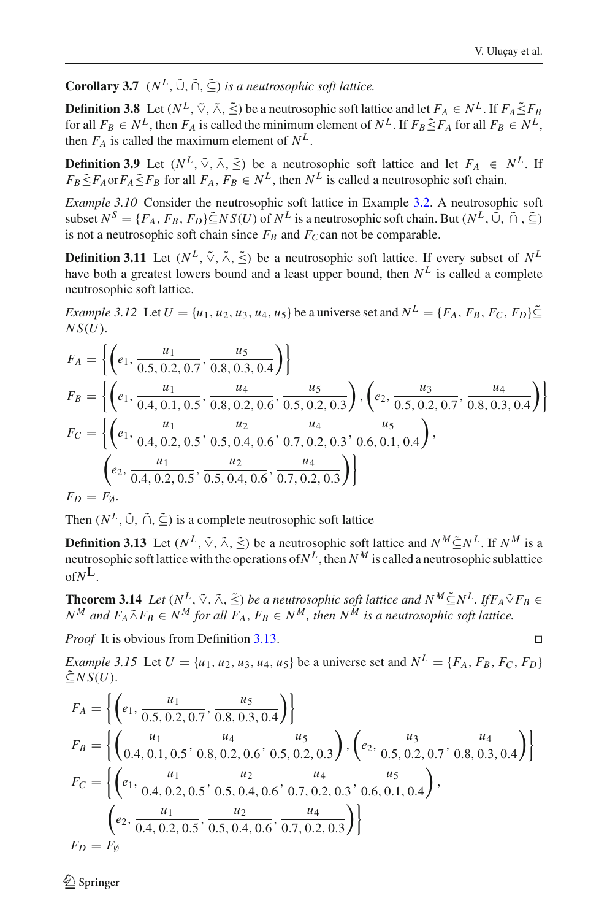**Corollary 3.7** ( $N^L$ ,  $\tilde{\cup}$ ,  $\tilde{\cap}$ ,  $\tilde{\subset}$ ) *is a neutrosophic soft lattice.* 

**Definition 3.8** Let  $(N^L, \tilde{\vee}, \tilde{\wedge}, \tilde{\le})$  be a neutrosophic soft lattice and let  $F_A \in N^L$ . If  $F_A \tilde{\le} F_B$ for all  $F_B \in N^L$ , then  $F_A$  is called the minimum element of  $N^L$ . If  $F_B \leq F_A$  for all  $F_B \in N^L$ , then  $F_A$  is called the maximum element of  $N^L$ .

**Definition 3.9** Let  $(N^L, \tilde{\vee}, \tilde{\wedge}, \tilde{\le})$  be a neutrosophic soft lattice and let  $F_A \in N^L$ . If  $F_B \leq F_A$  or  $F_A \leq F_B$  for all  $F_A$ ,  $F_B \in N^L$ , then  $N^L$  is called a neutrosophic soft chain.

*Example 3.10* Consider the neutrosophic soft lattice in Example [3.2.](#page-2-1) A neutrosophic soft subset  $N^S = \{F_A, F_B, F_D\} \tilde{\subset} NS(U)$  of  $N^L$  is a neutrosophic soft chain. But  $(N^L, \tilde{\mathbb{C}}, \tilde{\mathbb{C}}, \tilde{\mathbb{C}})$ is not a neutrosophic soft chain since  $F_B$  and  $F_C$ can not be comparable.

**Definition 3.11** Let  $(N^L, \tilde{\vee}, \tilde{\wedge}, \tilde{\le})$  be a neutrosophic soft lattice. If every subset of  $N^L$ have both a greatest lowers bound and a least upper bound, then  $N^L$  is called a complete neutrosophic soft lattice.

*Example 3.12* Let  $U = \{u_1, u_2, u_3, u_4, u_5\}$  be a universe set and  $N^L = \{F_A, F_B, F_C, F_B\} \subseteq$ *N S*(*U*).

$$
F_A = \left\{ \left( e_1, \frac{u_1}{0.5, 0.2, 0.7}, \frac{u_5}{0.8, 0.3, 0.4} \right) \right\}
$$
  
\n
$$
F_B = \left\{ \left( e_1, \frac{u_1}{0.4, 0.1, 0.5}, \frac{u_4}{0.8, 0.2, 0.6}, \frac{u_5}{0.5, 0.2, 0.3} \right), \left( e_2, \frac{u_3}{0.5, 0.2, 0.7}, \frac{u_4}{0.8, 0.3, 0.4} \right) \right\}
$$
  
\n
$$
F_C = \left\{ \left( e_1, \frac{u_1}{0.4, 0.2, 0.5}, \frac{u_2}{0.5, 0.4, 0.6}, \frac{u_4}{0.7, 0.2, 0.3}, \frac{u_5}{0.6, 0.1, 0.4} \right), \left( e_2, \frac{u_1}{0.4, 0.2, 0.5}, \frac{u_2}{0.5, 0.4, 0.6}, \frac{u_4}{0.7, 0.2, 0.3} \right) \right\}
$$
  
\n
$$
F_D = F_\emptyset.
$$

Then  $(N^L, \tilde{\cup}, \tilde{\cap}, \tilde{\subset})$  is a complete neutrosophic soft lattice

<span id="page-5-0"></span>**Definition 3.13** Let  $(N^L, \tilde{\vee}, \tilde{\wedge}, \tilde{\le})$  be a neutrosophic soft lattice and  $N^M \tilde{\subset} N^L$ . If  $N^M$  is a neutrosophic soft lattice with the operations of  $N^L$ , then  $N^M$  is called a neutrosophic sublattice of*N*L.

**Theorem 3.14** *Let*  $(N^L, \tilde{\vee}, \tilde{\wedge}, \tilde{\le})$  *be a neutrosophic soft lattice and*  $N^M \tilde{\subset} N^L$ *. IfF<sub>A</sub>* $\tilde{\vee}$ *FB*  $\in$  $N^M$  and  $F_A \tilde{\wedge} F_B \in N^M$  for all  $F_A$ ,  $F_B \in N^M$ , then  $N^M$  is a neutrosophic soft lattice.

*Proof* It is obvious from Definition [3.13.](#page-5-0)

*Example 3.15* Let  $U = \{u_1, u_2, u_3, u_4, u_5\}$  be a universe set and  $N^L = \{F_A, F_B, F_C, F_D\}$  $\tilde{\subset} NS(U)$ .

$$
F_A = \left\{ \left( e_1, \frac{u_1}{0.5, 0.2, 0.7}, \frac{u_5}{0.8, 0.3, 0.4} \right) \right\}
$$
  
\n
$$
F_B = \left\{ \left( \frac{u_1}{0.4, 0.1, 0.5}, \frac{u_4}{0.8, 0.2, 0.6}, \frac{u_5}{0.5, 0.2, 0.3} \right), \left( e_2, \frac{u_3}{0.5, 0.2, 0.7}, \frac{u_4}{0.8, 0.3, 0.4} \right) \right\}
$$
  
\n
$$
F_C = \left\{ \left( e_1, \frac{u_1}{0.4, 0.2, 0.5}, \frac{u_2}{0.5, 0.4, 0.6}, \frac{u_4}{0.7, 0.2, 0.3}, \frac{u_5}{0.6, 0.1, 0.4} \right), \left( e_2, \frac{u_1}{0.4, 0.2, 0.5}, \frac{u_2}{0.5, 0.4, 0.6}, \frac{u_4}{0.7, 0.2, 0.3} \right) \right\}
$$
  
\n
$$
F_D = F_\emptyset
$$

 $\circledcirc$  Springer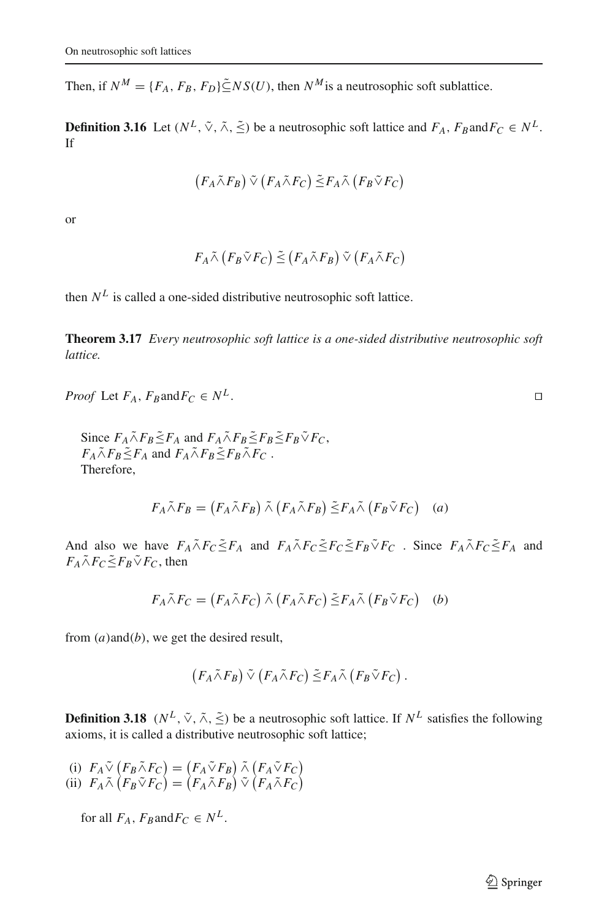Then, if  $N^M = \{F_A, F_B, F_D\} \tilde{\subset} NS(U)$ , then  $N^M$  is a neutrosophic soft sublattice.

**Definition 3.16** Let  $(N^L, \tilde{\vee}, \tilde{\wedge}, \tilde{\le})$  be a neutrosophic soft lattice and  $F_A$ ,  $F_B$ and $F_C \in N^L$ . If

$$
(F_A \tilde{\wedge} F_B) \tilde{\vee} (F_A \tilde{\wedge} F_C) \tilde{\leq} F_A \tilde{\wedge} (F_B \tilde{\vee} F_C)
$$

or

$$
F_A \tilde{\wedge} (F_B \tilde{\vee} F_C) \leq (F_A \tilde{\wedge} F_B) \tilde{\vee} (F_A \tilde{\wedge} F_C)
$$

then  $N^L$  is called a one-sided distributive neutrosophic soft lattice.

**Theorem 3.17** *Every neutrosophic soft lattice is a one-sided distributive neutrosophic soft lattice.*

*Proof* Let 
$$
F_A
$$
,  $F_B$  and  $F_C \in N^L$ .

Since  $F_A \tilde{\wedge} F_B \tilde{\le} F_A$  and  $F_A \tilde{\wedge} F_B \tilde{\le} F_B \tilde{\le} F_B \tilde{\vee} F_C$ ,  $F_A \tilde{\wedge} F_B \leq F_A$  and  $F_A \tilde{\wedge} F_B \leq F_B \tilde{\wedge} F_C$ . Therefore,

$$
F_A \tilde{\wedge} F_B = (F_A \tilde{\wedge} F_B) \tilde{\wedge} (F_A \tilde{\wedge} F_B) \tilde{\leq} F_A \tilde{\wedge} (F_B \tilde{\vee} F_C) \quad (a)
$$

And also we have  $F_A \tilde{\wedge} F_C \tilde{\le} F_A$  and  $F_A \tilde{\wedge} F_C \tilde{\le} F_C \tilde{\le} F_B \tilde{\vee} F_C$ . Since  $F_A \tilde{\wedge} F_C \tilde{\le} F_A$  and  $F_A \tilde{\wedge} F_C \tilde{\leq} F_B \tilde{\vee} F_C$ , then

$$
F_A \tilde{\wedge} F_C = (F_A \tilde{\wedge} F_C) \tilde{\wedge} (F_A \tilde{\wedge} F_C) \tilde{\leq} F_A \tilde{\wedge} (F_B \tilde{\vee} F_C) \quad (b)
$$

from (*a*)and(*b*), we get the desired result,

$$
(F_A \tilde{\wedge} F_B) \tilde{\vee} (F_A \tilde{\wedge} F_C) \tilde{\leq} F_A \tilde{\wedge} (F_B \tilde{\vee} F_C).
$$

**Definition 3.18** ( $N^L$ ,  $\tilde{\vee}$ ,  $\tilde{\wedge}$ ,  $\tilde{\le}$ ) be a neutrosophic soft lattice. If  $N^L$  satisfies the following axioms, it is called a distributive neutrosophic soft lattice;

(i)  $F_A \tilde{\vee} (F_B \tilde{\wedge} F_C) = (F_A \tilde{\vee} F_B) \tilde{\wedge} (F_A \tilde{\vee} F_C)$ (ii)  $F_A \tilde{\wedge} (F_B \tilde{\vee} F_C) = (F_A \tilde{\wedge} F_B) \tilde{\vee} (F_A \tilde{\wedge} F_C)$ 

for all  $F_A$ ,  $F_B$ and $F_C \in N^L$ .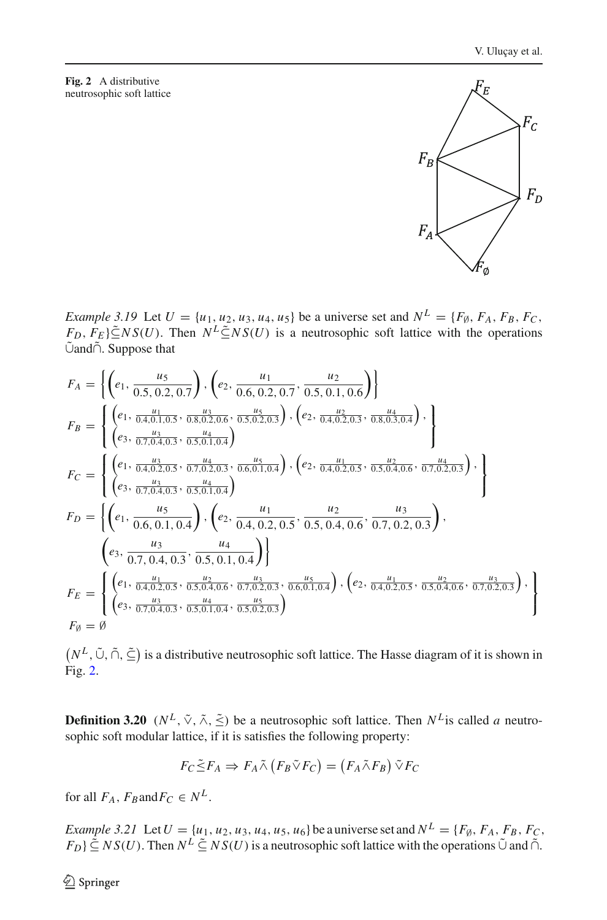#### <span id="page-7-0"></span>**Fig. 2** A distributive neutrosophic soft lattice .

*Example 3.19* Let  $U = \{u_1, u_2, u_3, u_4, u_5\}$  be a universe set and  $N^L = \{F_{\emptyset}, F_A, F_B, F_C,$  $F_D$ ,  $F_E$ } $\subseteq$ *NS*(*U*). Then  $N^L \subseteq NS(U)$  is a neutrosophic soft lattice with the operations ∪˜ and∩˜ . Suppose that

$$
F_{A} = \left\{ \left( e_{1}, \frac{u_{5}}{0.5, 0.2, 0.7} \right), \left( e_{2}, \frac{u_{1}}{0.6, 0.2, 0.7}, \frac{u_{2}}{0.5, 0.1, 0.6} \right) \right\}
$$
  
\n
$$
F_{B} = \left\{ \left( e_{1}, \frac{u_{1}}{0.4, 0.1, 0.5}, \frac{u_{3}}{0.8, 0.2, 0.6}, \frac{u_{5}}{0.5, 0.2, 0.3} \right), \left( e_{2}, \frac{u_{2}}{0.4, 0.2, 0.3}, \frac{u_{4}}{0.8, 0.3, 0.4} \right), \right\}
$$
  
\n
$$
F_{C} = \left\{ \left( e_{1}, \frac{u_{3}}{0.4, 0.2, 0.5}, \frac{u_{4}}{0.7, 0.4, 0.3}, \frac{u_{5}}{0.5, 0.1, 0.4} \right), \left( e_{2}, \frac{u_{1}}{0.4, 0.2, 0.5}, \frac{u_{2}}{0.5, 0.4, 0.6}, \frac{u_{4}}{0.7, 0.2, 0.3} \right), \right\}
$$
  
\n
$$
F_{D} = \left\{ \left( e_{1}, \frac{u_{5}}{0.6, 0.1, 0.4}, \frac{u_{4}}{0.2, 0.5}, \frac{u_{4}}{0.4, 0.2, 0.5}, \frac{u_{2}}{0.5, 0.4, 0.6}, \frac{u_{3}}{0.7, 0.2, 0.3} \right), \left( e_{3}, \frac{u_{3}}{0.7, 0.4, 0.3}, \frac{u_{4}}{0.5, 0.1, 0.4} \right) \right\}
$$
  
\n
$$
F_{E} = \left\{ \left( e_{1}, \frac{u_{5}}{0.4, 0.2, 0.5}, \frac{u_{2}}{0.5, 0.1, 0.4} \right) \right\}
$$
  
\n
$$
F_{E} = \left\{ \left( e_{1}, \frac{u_{1}}{0.4, 0.2, 0.5}, \frac{u_{2}}{0.
$$

 $(N^L, \tilde{\cup}, \tilde{\cap}, \tilde{\subseteq})$  is a distributive neutrosophic soft lattice. The Hasse diagram of it is shown in Fig. [2.](#page-7-0)

**Definition 3.20** ( $N^L$ ,  $\tilde{\vee}$ ,  $\tilde{\wedge}$ ,  $\tilde{\le}$ ) be a neutrosophic soft lattice. Then  $N^L$  is called *a* neutrosophic soft modular lattice, if it is satisfies the following property:

$$
F_C \tilde{\leq} F_A \Rightarrow F_A \tilde{\wedge} (F_B \tilde{\vee} F_C) = (F_A \tilde{\wedge} F_B) \tilde{\vee} F_C
$$

for all  $F_A$ ,  $F_B$ and $F_C \in N^L$ .

*Example 3.21* Let*<sup>U</sup>* = {*u*1, *<sup>u</sup>*2, *<sup>u</sup>*3, *<sup>u</sup>*4, *<sup>u</sup>*5, *<sup>u</sup>*6} be a universe set and *<sup>N</sup><sup>L</sup>* = {*F*∅, *FA*, *FB*, *FC*,  $(F_D) \subseteq NS(U)$ . Then  $N^L \subseteq NS(U)$  is a neutrosophic soft lattice with the operations  $\tilde{\cup}$  and  $\tilde{\cap}$ .

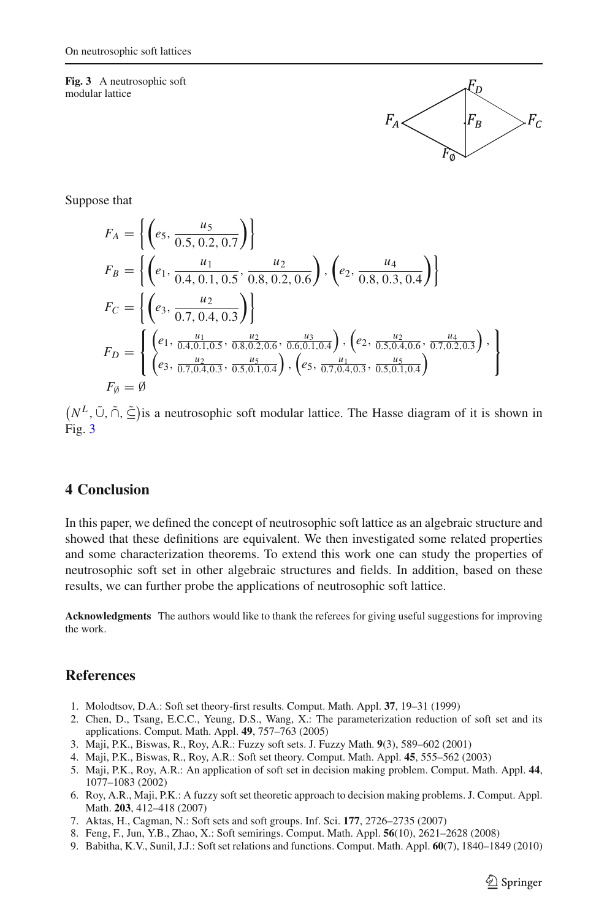<span id="page-8-8"></span>**Fig. 3** A neutrosophic soft modular lattice



Suppose that

$$
F_A = \left\{ \left( e_5, \frac{u_5}{0.5, 0.2, 0.7} \right) \right\}
$$
  
\n
$$
F_B = \left\{ \left( e_1, \frac{u_1}{0.4, 0.1, 0.5}, \frac{u_2}{0.8, 0.2, 0.6} \right), \left( e_2, \frac{u_4}{0.8, 0.3, 0.4} \right) \right\}
$$
  
\n
$$
F_C = \left\{ \left( e_3, \frac{u_2}{0.7, 0.4, 0.3} \right) \right\}
$$
  
\n
$$
F_D = \left\{ \left( e_1, \frac{u_1}{0.4, 0.1, 0.5}, \frac{u_2}{0.8, 0.2, 0.6}, \frac{u_3}{0.6, 0.1, 0.4} \right), \left( e_2, \frac{u_2}{0.5, 0.4, 0.6}, \frac{u_4}{0.7, 0.2, 0.3} \right), \left( e_3, \frac{u_2}{0.7, 0.4, 0.3}, \frac{u_5}{0.5, 0.1, 0.4} \right) \right\}
$$
  
\n
$$
F_{\emptyset} = \emptyset
$$

 $(N^L, \tilde{\cup}, \tilde{\cap}, \tilde{\subseteq})$  is a neutrosophic soft modular lattice. The Hasse diagram of it is shown in Fig. [3](#page-8-8)

# <span id="page-8-7"></span>**4 Conclusion**

In this paper, we defined the concept of neutrosophic soft lattice as an algebraic structure and showed that these definitions are equivalent. We then investigated some related properties and some characterization theorems. To extend this work one can study the properties of neutrosophic soft set in other algebraic structures and fields. In addition, based on these results, we can further probe the applications of neutrosophic soft lattice.

**Acknowledgments** The authors would like to thank the referees for giving useful suggestions for improving the work.

# **References**

- 1. Molodtsov, D.A.: Soft set theory-first results. Comput. Math. Appl. **37**, 19–31 (1999)
- <span id="page-8-1"></span><span id="page-8-0"></span>2. Chen, D., Tsang, E.C.C., Yeung, D.S., Wang, X.: The parameterization reduction of soft set and its applications. Comput. Math. Appl. **49**, 757–763 (2005)
- <span id="page-8-2"></span>3. Maji, P.K., Biswas, R., Roy, A.R.: Fuzzy soft sets. J. Fuzzy Math. **9**(3), 589–602 (2001)
- 4. Maji, P.K., Biswas, R., Roy, A.R.: Soft set theory. Comput. Math. Appl. **45**, 555–562 (2003)
- <span id="page-8-4"></span><span id="page-8-3"></span>5. Maji, P.K., Roy, A.R.: An application of soft set in decision making problem. Comput. Math. Appl. **44**, 1077–1083 (2002)
- <span id="page-8-5"></span>6. Roy, A.R., Maji, P.K.: A fuzzy soft set theoretic approach to decision making problems. J. Comput. Appl. Math. **203**, 412–418 (2007)
- <span id="page-8-6"></span>7. Aktas, H., Cagman, N.: Soft sets and soft groups. Inf. Sci. **177**, 2726–2735 (2007)
- 8. Feng, F., Jun, Y.B., Zhao, X.: Soft semirings. Comput. Math. Appl. **56**(10), 2621–2628 (2008)
- 9. Babitha, K.V., Sunil, J.J.: Soft set relations and functions. Comput. Math. Appl. **60**(7), 1840–1849 (2010)